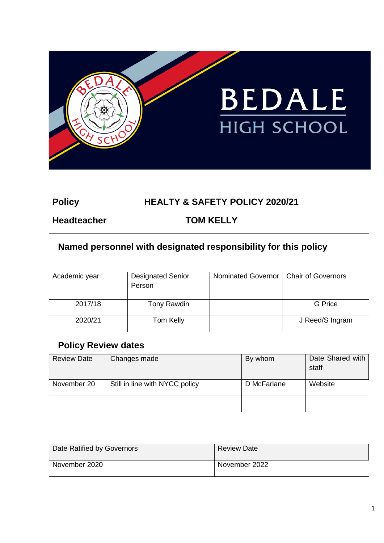

# **Policy HEALTY & SAFETY POLICY 2020/21**

**Headteacher TOM KELLY**

# **Named personnel with designated responsibility for this policy**

| Academic year | <b>Designated Senior</b><br>Person | Nominated Governor   Chair of Governors |                 |
|---------------|------------------------------------|-----------------------------------------|-----------------|
| 2017/18       | Tony Rawdin                        |                                         | G Price         |
| 2020/21       | Tom Kelly                          |                                         | J Reed/S Ingram |

## **Policy Review dates**

| <b>Review Date</b> | Changes made                   | By whom     | Date Shared with<br>staff |
|--------------------|--------------------------------|-------------|---------------------------|
| November 20        | Still in line with NYCC policy | D McFarlane | Website                   |
|                    |                                |             |                           |

| Date Ratified by Governors | <b>Review Date</b> |
|----------------------------|--------------------|
| November 2020              | November 2022      |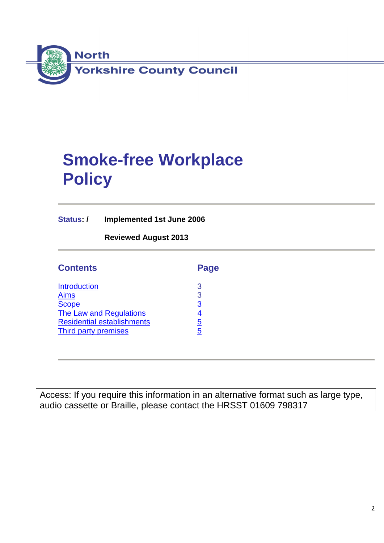

# **Smoke-free Workplace Policy**

**Status: / Implemented 1st June 2006**

**Reviewed August 2013**

| <b>Contents</b>                   | Page           |
|-----------------------------------|----------------|
| <b>Introduction</b>               | 3              |
| <b>Aims</b>                       | 3              |
| <b>Scope</b>                      | 3              |
| <b>The Law and Regulations</b>    | <u>4</u>       |
| <b>Residential establishments</b> | <u>5</u>       |
| <b>Third party premises</b>       | $\overline{5}$ |

Access: If you require this information in an alternative format such as large type, audio cassette or Braille, please contact the HRSST 01609 798317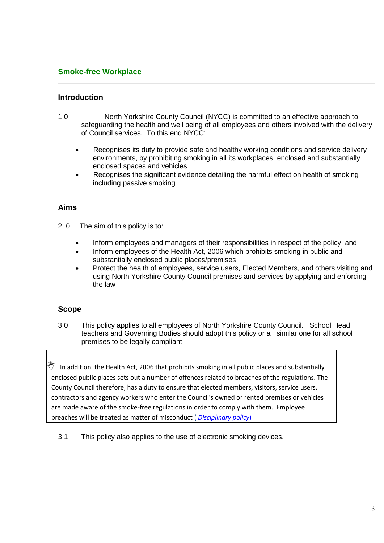#### **Smoke-free Workplace**

#### <span id="page-2-0"></span>**Introduction**

- 1.0 North Yorkshire County Council (NYCC) is committed to an effective approach to safeguarding the health and well being of all employees and others involved with the delivery of Council services. To this end NYCC:
	- Recognises its duty to provide safe and healthy working conditions and service delivery environments, by prohibiting smoking in all its workplaces, enclosed and substantially enclosed spaces and vehicles
	- Recognises the significant evidence detailing the harmful effect on health of smoking including passive smoking

#### <span id="page-2-1"></span>**Aims**

- 2. 0 The aim of this policy is to:
	- Inform employees and managers of their responsibilities in respect of the policy, and
	- Inform employees of the Health Act, 2006 which prohibits smoking in public and substantially enclosed public places/premises
	- Protect the health of employees, service users, Elected Members, and others visiting and using North Yorkshire County Council premises and services by applying and enforcing the law

#### <span id="page-2-2"></span>**Scope**

3.0 This policy applies to all employees of North Yorkshire County Council. School Head teachers and Governing Bodies should adopt this policy or a similar one for all school premises to be legally compliant.

In addition, the Health Act, 2006 that prohibits smoking in all public places and substantially enclosed public places sets out a number of offences related to breaches of the regulations. The County Council therefore, has a duty to ensure that elected members, visitors, service users, contractors and agency workers who enter the Council's owned or rented premises or vehicles are made aware of the smoke-free regulations in order to comply with them. Employee breaches will be treated as matter of misconduct ( *[Disciplinary policy](http://cyps.northyorks.gov.uk/index.aspx?articleid=30832)*)

3.1 This policy also applies to the use of electronic smoking devices.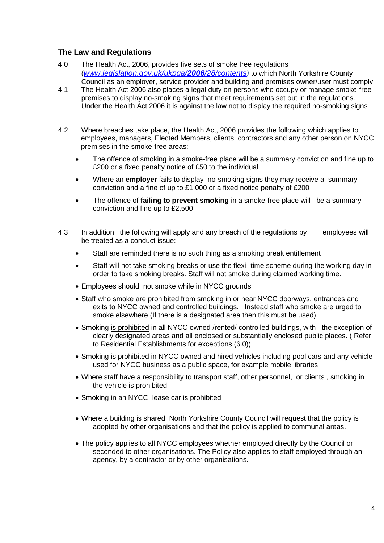#### <span id="page-3-0"></span>**The Law and Regulations**

- 4.0 The Health Act, 2006, provides five sets of smoke free regulations (*[www.legislation.gov.uk/ukpga/](http://www.legislation.gov.uk/ukpga/2006/28/contents)2006/28/contents)* to which North Yorkshire County Council as an employer, service provider and building and premises owner/user must comply
- 4.1 The Health Act 2006 also places a legal duty on persons who occupy or manage smoke-free premises to display no-smoking signs that meet requirements set out in the regulations. Under the Health Act 2006 it is against the law not to display the required no-smoking signs
- 4.2 Where breaches take place, the Health Act, 2006 provides the following which applies to employees, managers, Elected Members, clients, contractors and any other person on NYCC premises in the smoke-free areas:
	- The offence of smoking in a smoke-free place will be a summary conviction and fine up to £200 or a fixed penalty notice of £50 to the individual
	- Where an **employer** fails to display no-smoking signs they may receive a summary conviction and a fine of up to £1,000 or a fixed notice penalty of £200
	- The offence of **failing to prevent smoking** in a smoke-free place will be a summary conviction and fine up to £2,500
- 4.3 In addition, the following will apply and any breach of the regulations by employees will be treated as a conduct issue:
	- Staff are reminded there is no such thing as a smoking break entitlement
	- Staff will not take smoking breaks or use the flexi- time scheme during the working day in order to take smoking breaks. Staff will not smoke during claimed working time.
	- Employees should not smoke while in NYCC grounds
	- Staff who smoke are prohibited from smoking in or near NYCC doorways, entrances and exits to NYCC owned and controlled buildings. Instead staff who smoke are urged to smoke elsewhere (If there is a designated area then this must be used)
	- Smoking is prohibited in all NYCC owned /rented/ controlled buildings, with the exception of clearly designated areas and all enclosed or substantially enclosed public places. ( Refer to Residential Establishments for exceptions (6.0))
	- Smoking is prohibited in NYCC owned and hired vehicles including pool cars and any vehicle used for NYCC business as a public space, for example mobile libraries
	- Where staff have a responsibility to transport staff, other personnel, or clients , smoking in the vehicle is prohibited
	- Smoking in an NYCC lease car is prohibited
	- Where a building is shared, North Yorkshire County Council will request that the policy is adopted by other organisations and that the policy is applied to communal areas.
	- The policy applies to all NYCC employees whether employed directly by the Council or seconded to other organisations. The Policy also applies to staff employed through an agency, by a contractor or by other organisations.